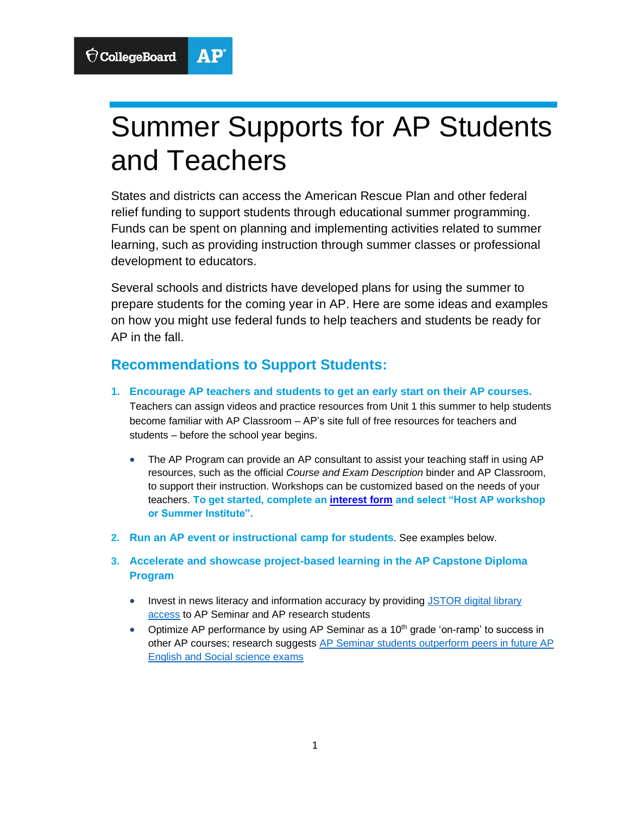

# Summer Supports for AP Students and Teachers

States and districts can access the American Rescue Plan and other federal relief funding to support students through educational summer programming. Funds can be spent on planning and implementing activities related to summer learning, such as providing instruction through summer classes or professional development to educators.

Several schools and districts have developed plans for using the summer to prepare students for the coming year in AP. Here are some ideas and examples on how you might use federal funds to help teachers and students be ready for AP in the fall.

## **Recommendations to Support Students:**

- **1. Encourage AP teachers and students to get an early start on their AP courses.** Teachers can assign videos and practice resources from Unit 1 this summer to help students become familiar with AP Classroom – AP's site full of free resources for teachers and students – before the school year begins.
	- The AP Program can provide an AP consultant to assist your teaching staff in using AP resources, such as the official *Course and Exam Description* binder and AP Classroom, to support their instruction. Workshops can be customized based on the needs of your teachers. **To get started, complete an [interest form](https://app.smartsheet.com/b/form/f22c4c790a5644d496a15c0a54c41135) and select "Host AP workshop or Summer Institute".**
- **2. Run an AP event or instructional camp for students**. See examples below.
- **3. Accelerate and showcase project-based learning in the AP Capstone Diploma Program**
	- Invest in news literacy and information accuracy by providing JSTOR digital library [access](https://nam04.safelinks.protection.outlook.com/?url=https%3A%2F%2Fwww.jstor.org%2F&data=04%7C01%7Catakemoto%40collegeboard.org%7C4b70abd0e16e4996baa908d91a12baed%7C7530bdedfd6e4f58b5d2ea681eb07663%7C0%7C0%7C637569490029405691%7CUnknown%7CTWFpbGZsb3d8eyJWIjoiMC4wLjAwMDAiLCJQIjoiV2luMzIiLCJBTiI6Ik1haWwiLCJXVCI6Mn0%3D%7C1000&sdata=HOTY5YTJl%2B%2ByVUY63EFuezUJSzQ03sQRKJAzRZ772sI%3D&reserved=0) to AP Seminar and AP research students
	- Optimize AP performance by using AP Seminar as a  $10<sup>th</sup>$  grade 'on-ramp' to success in other AP courses; research suggests [AP Seminar students outperform peers in future AP](https://nam04.safelinks.protection.outlook.com/?url=https%3A%2F%2Ffiles.eric.ed.gov%2Ffulltext%2FED603711.pdf&data=04%7C01%7Catakemoto%40collegeboard.org%7C4b70abd0e16e4996baa908d91a12baed%7C7530bdedfd6e4f58b5d2ea681eb07663%7C0%7C0%7C637569490029405691%7CUnknown%7CTWFpbGZsb3d8eyJWIjoiMC4wLjAwMDAiLCJQIjoiV2luMzIiLCJBTiI6Ik1haWwiLCJXVCI6Mn0%3D%7C1000&sdata=LPcXf%2BzXL2CW7DEyiawoYUVSFPsXMcTUg8o9A4Ksu2A%3D&reserved=0)  [English and Social science exams](https://nam04.safelinks.protection.outlook.com/?url=https%3A%2F%2Ffiles.eric.ed.gov%2Ffulltext%2FED603711.pdf&data=04%7C01%7Catakemoto%40collegeboard.org%7C4b70abd0e16e4996baa908d91a12baed%7C7530bdedfd6e4f58b5d2ea681eb07663%7C0%7C0%7C637569490029405691%7CUnknown%7CTWFpbGZsb3d8eyJWIjoiMC4wLjAwMDAiLCJQIjoiV2luMzIiLCJBTiI6Ik1haWwiLCJXVCI6Mn0%3D%7C1000&sdata=LPcXf%2BzXL2CW7DEyiawoYUVSFPsXMcTUg8o9A4Ksu2A%3D&reserved=0)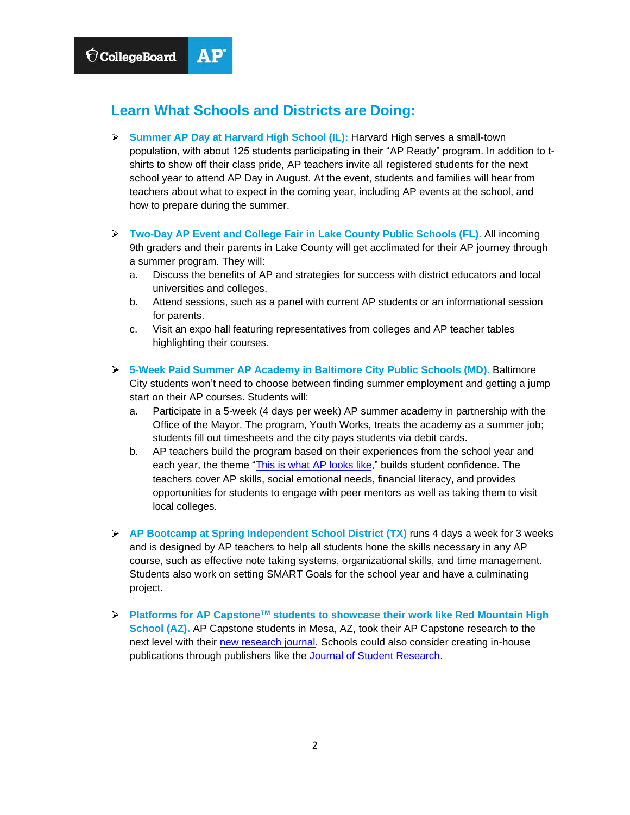

#### **Learn What Schools and Districts are Doing:**

- **Summer AP Day at Harvard High School (IL):** Harvard High serves a small-town population, with about 125 students participating in their "AP Ready" program. In addition to tshirts to show off their class pride, AP teachers invite all registered students for the next school year to attend AP Day in August. At the event, students and families will hear from teachers about what to expect in the coming year, including AP events at the school, and how to prepare during the summer.
- **Two-Day AP Event and College Fair in Lake County Public Schools (FL).** All incoming 9th graders and their parents in Lake County will get acclimated for their AP journey through a summer program. They will:
	- a. Discuss the benefits of AP and strategies for success with district educators and local universities and colleges.
	- b. Attend sessions, such as a panel with current AP students or an informational session for parents.
	- c. Visit an expo hall featuring representatives from colleges and AP teacher tables highlighting their courses.
- **5-Week Paid Summer AP Academy in Baltimore City Public Schools (MD).** Baltimore City students won't need to choose between finding summer employment and getting a jump start on their AP courses. Students will:
	- a. Participate in a 5-week (4 days per week) AP summer academy in partnership with the Office of the Mayor. The program, Youth Works, treats the academy as a summer job; students fill out timesheets and the city pays students via debit cards.
	- b. AP teachers build the program based on their experiences from the school year and each year, the theme ["This is what AP looks like,](https://www.wevideo.com/view/1794619710)" builds student confidence. The teachers cover AP skills, social emotional needs, financial literacy, and provides opportunities for students to engage with peer mentors as well as taking them to visit local colleges.
- **AP Bootcamp at Spring Independent School District (TX)** runs 4 days a week for 3 weeks and is designed by AP teachers to help all students hone the skills necessary in any AP course, such as effective note taking systems, organizational skills, and time management. Students also work on setting SMART Goals for the school year and have a culminating project.
- **Platforms for AP CapstoneTM students to showcase their work like Red Mountain High School (AZ).** AP Capstone students in Mesa, AZ, took their AP Capstone research to the next level with their [new research journal.](http://www.mpsaz.org/rmhs/organizations/sciencefair/big_r/) Schools could also consider creating in-house publications through publishers like the [Journal of Student Research.](https://www.jsr.org/hs/index.php/path/issue/view/43)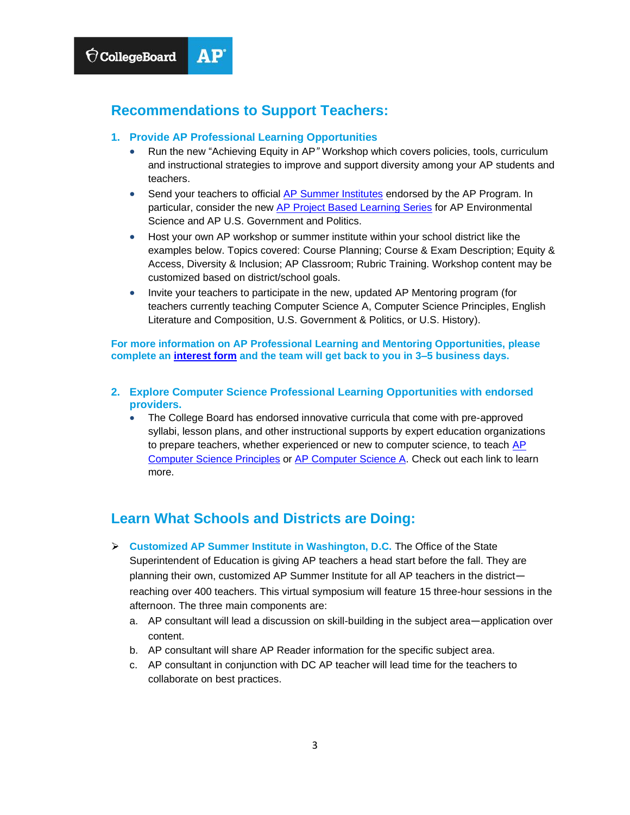### **Recommendations to Support Teachers:**

- **1. Provide AP Professional Learning Opportunities** 
	- Run the new "Achieving Equity in AP*"* Workshop which covers policies, tools, curriculum and instructional strategies to improve and support diversity among your AP students and teachers.
	- Send your teachers to official [AP Summer Institutes](https://apcentral.collegeboard.org/professional-learning/workshops-summer-institutes/summer-institutes) endorsed by the AP Program. In particular, consider the new [AP Project Based Learning Series](https://apcentral.collegeboard.org/professional-learning/project-based-learning) for AP Environmental Science and AP U.S. Government and Politics.
	- Host your own AP workshop or summer institute within your school district like the examples below. Topics covered: Course Planning; Course & Exam Description; Equity & Access, Diversity & Inclusion; AP Classroom; Rubric Training. Workshop content may be customized based on district/school goals.
	- Invite your teachers to participate in the new, updated AP Mentoring program (for teachers currently teaching Computer Science A, Computer Science Principles, English Literature and Composition, U.S. Government & Politics, or U.S. History).

**For more information on AP Professional Learning and Mentoring Opportunities, please complete an [interest form](https://app.smartsheet.com/b/form/f22c4c790a5644d496a15c0a54c41135) and the team will get back to you in 3–5 business days.**

- **2. Explore Computer Science Professional Learning Opportunities with endorsed providers.**
	- The College Board has endorsed innovative curricula that come with pre-approved syllabi, lesson plans, and other instructional supports by expert education organizations to prepare teachers, whether experienced or new to computer science, to teach [AP](https://apcentral.collegeboard.org/courses/ap-computer-science-principles/classroom-resources/curricula-pedagogical-support?course=ap-computer-science-principles)  [Computer Science Principles](https://apcentral.collegeboard.org/courses/ap-computer-science-principles/classroom-resources/curricula-pedagogical-support?course=ap-computer-science-principles) or [AP Computer Science A.](https://apcentral.collegeboard.org/courses/ap-computer-science-a/classroom-resources/curricula-pedagogical-support) Check out each link to learn more.

## **Learn What Schools and Districts are Doing:**

- **Customized AP Summer Institute in Washington, D.C.** The Office of the State Superintendent of Education is giving AP teachers a head start before the fall. They are planning their own, customized AP Summer Institute for all AP teachers in the district reaching over 400 teachers. This virtual symposium will feature 15 three-hour sessions in the afternoon. The three main components are:
	- a. AP consultant will lead a discussion on skill-building in the subject area—application over content.
	- b. AP consultant will share AP Reader information for the specific subject area.
	- c. AP consultant in conjunction with DC AP teacher will lead time for the teachers to collaborate on best practices.